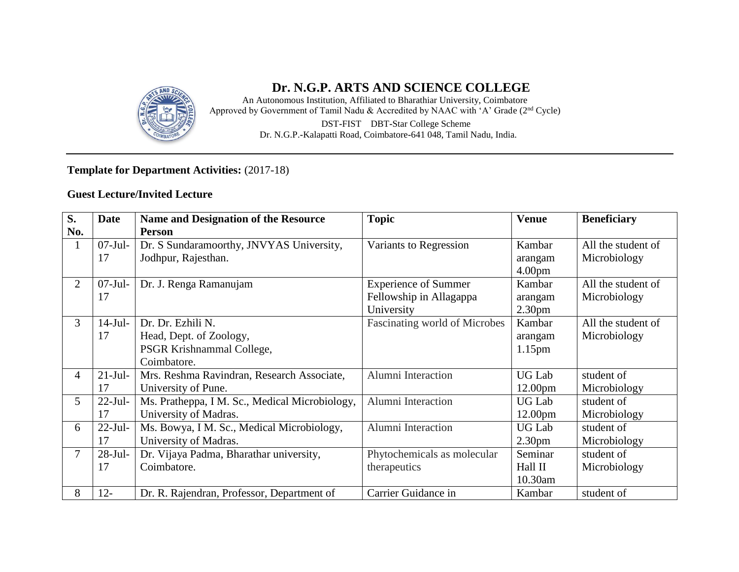

### **Dr. N.G.P. ARTS AND SCIENCE COLLEGE**

An Autonomous Institution, Affiliated to Bharathiar University, Coimbatore Approved by Government of Tamil Nadu & Accredited by NAAC with 'A' Grade (2nd Cycle) DST**-**FIST DBT**-**Star College Scheme Dr. N.G.P.**-**Kalapatti Road, Coimbatore**-**641 048, Tamil Nadu, India.

### **Template for Department Activities:** (2017-18)

### **Guest Lecture/Invited Lecture**

| S.             | <b>Date</b> | <b>Name and Designation of the Resource</b>    | <b>Topic</b>                  | <b>Venue</b>        | <b>Beneficiary</b> |
|----------------|-------------|------------------------------------------------|-------------------------------|---------------------|--------------------|
| No.            |             | <b>Person</b>                                  |                               |                     |                    |
| $\mathbf{1}$   | $07-Jul-$   | Dr. S Sundaramoorthy, JNVYAS University,       | Variants to Regression        | Kambar              | All the student of |
|                | 17          | Jodhpur, Rajesthan.                            |                               | arangam             | Microbiology       |
|                |             |                                                |                               | 4.00 <sub>pm</sub>  |                    |
| $\overline{2}$ | $07-Jul-$   | Dr. J. Renga Ramanujam                         | <b>Experience of Summer</b>   | Kambar              | All the student of |
|                | 17          |                                                | Fellowship in Allagappa       | arangam             | Microbiology       |
|                |             |                                                | University                    | 2.30 <sub>pm</sub>  |                    |
| 3              | $14-Jul-$   | Dr. Dr. Ezhili N.                              | Fascinating world of Microbes | Kambar              | All the student of |
|                | 17          | Head, Dept. of Zoology,                        |                               | arangam             | Microbiology       |
|                |             | PSGR Krishnammal College,                      |                               | 1.15 <sub>pm</sub>  |                    |
|                |             | Coimbatore.                                    |                               |                     |                    |
| 4              | $21-Jul-$   | Mrs. Reshma Ravindran, Research Associate,     | Alumni Interaction            | <b>UG Lab</b>       | student of         |
|                | 17          | University of Pune.                            |                               | 12.00 <sub>pm</sub> | Microbiology       |
| 5 <sup>5</sup> | $22$ -Jul-  | Ms. Pratheppa, I M. Sc., Medical Microbiology, | Alumni Interaction            | <b>UG Lab</b>       | student of         |
|                | 17          | University of Madras.                          |                               | 12.00 <sub>pm</sub> | Microbiology       |
| 6              | $22$ -Jul-  | Ms. Bowya, I M. Sc., Medical Microbiology,     | Alumni Interaction            | <b>UG Lab</b>       | student of         |
|                | 17          | University of Madras.                          |                               | 2.30 <sub>pm</sub>  | Microbiology       |
| $\tau$         | $28-Jul-$   | Dr. Vijaya Padma, Bharathar university,        | Phytochemicals as molecular   | Seminar             | student of         |
|                | 17          | Coimbatore.                                    | therapeutics                  | Hall II             | Microbiology       |
|                |             |                                                |                               | 10.30am             |                    |
| 8              | $12 -$      | Dr. R. Rajendran, Professor, Department of     | Carrier Guidance in           | Kambar              | student of         |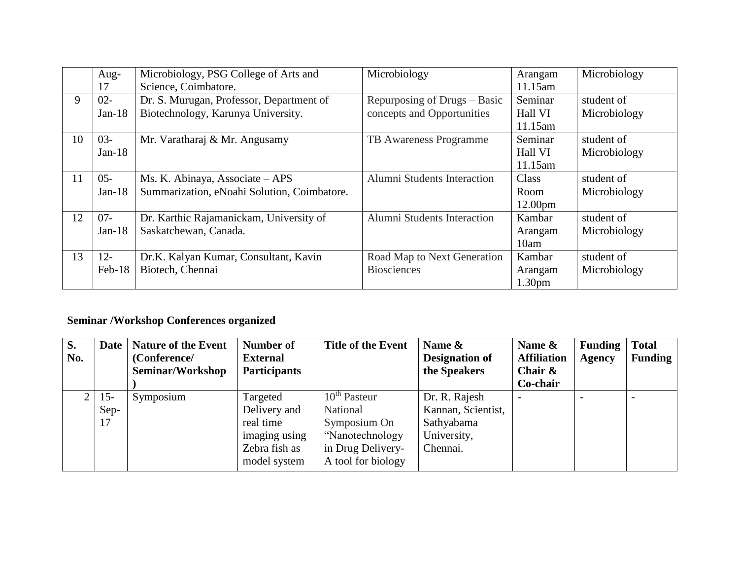|    | Aug-     | Microbiology, PSG College of Arts and       | Microbiology                 | Arangam             | Microbiology |
|----|----------|---------------------------------------------|------------------------------|---------------------|--------------|
|    | 17       | Science, Coimbatore.                        |                              | 11.15am             |              |
| 9  | $02 -$   | Dr. S. Murugan, Professor, Department of    | Repurposing of Drugs – Basic | Seminar             | student of   |
|    | Jan-18   | Biotechnology, Karunya University.          | concepts and Opportunities   | Hall VI             | Microbiology |
|    |          |                                             |                              | 11.15am             |              |
| 10 | $03 -$   | Mr. Varatharaj & Mr. Angusamy               | TB Awareness Programme       | Seminar             | student of   |
|    | Jan-18   |                                             |                              | Hall VI             | Microbiology |
|    |          |                                             |                              | 11.15am             |              |
| 11 | $05 -$   | Ms. K. Abinaya, Associate – APS             | Alumni Students Interaction  | Class               | student of   |
|    | $Jan-18$ | Summarization, eNoahi Solution, Coimbatore. |                              | Room                | Microbiology |
|    |          |                                             |                              | 12.00 <sub>pm</sub> |              |
| 12 | $07 -$   | Dr. Karthic Rajamanickam, University of     | Alumni Students Interaction  | Kambar              | student of   |
|    | $Jan-18$ | Saskatchewan, Canada.                       |                              | Arangam             | Microbiology |
|    |          |                                             |                              | 10am                |              |
| 13 | $12 -$   | Dr.K. Kalyan Kumar, Consultant, Kavin       | Road Map to Next Generation  | Kambar              | student of   |
|    | $Feb-18$ | Biotech, Chennai                            | <b>Biosciences</b>           | Arangam             | Microbiology |
|    |          |                                             |                              | 1.30 <sub>pm</sub>  |              |

## **Seminar /Workshop Conferences organized**

| <b>S.</b><br>No. |        | Date   Nature of the Event<br>(Conference/ | <b>Number of</b><br><b>External</b> | <b>Title of the Event</b> | Name &<br>Designation of | Name &<br><b>Affiliation</b> | <b>Funding</b><br><b>Agency</b> | <b>Total</b><br><b>Funding</b> |
|------------------|--------|--------------------------------------------|-------------------------------------|---------------------------|--------------------------|------------------------------|---------------------------------|--------------------------------|
|                  |        | Seminar/Workshop                           | <b>Participants</b>                 |                           | the Speakers             | Chair $\&$                   |                                 |                                |
|                  |        |                                            |                                     |                           |                          | Co-chair                     |                                 |                                |
|                  | $15 -$ | Symposium                                  | Targeted                            | $10^{\text{th}}$ Pasteur  | Dr. R. Rajesh            |                              |                                 |                                |
|                  | Sep-   |                                            | Delivery and                        | National                  | Kannan, Scientist,       |                              |                                 |                                |
|                  | 17     |                                            | real time                           | Symposium On              | Sathyabama               |                              |                                 |                                |
|                  |        |                                            | imaging using                       | "Nanotechnology           | University,              |                              |                                 |                                |
|                  |        |                                            | Zebra fish as                       | in Drug Delivery-         | Chennai.                 |                              |                                 |                                |
|                  |        |                                            | model system                        | A tool for biology        |                          |                              |                                 |                                |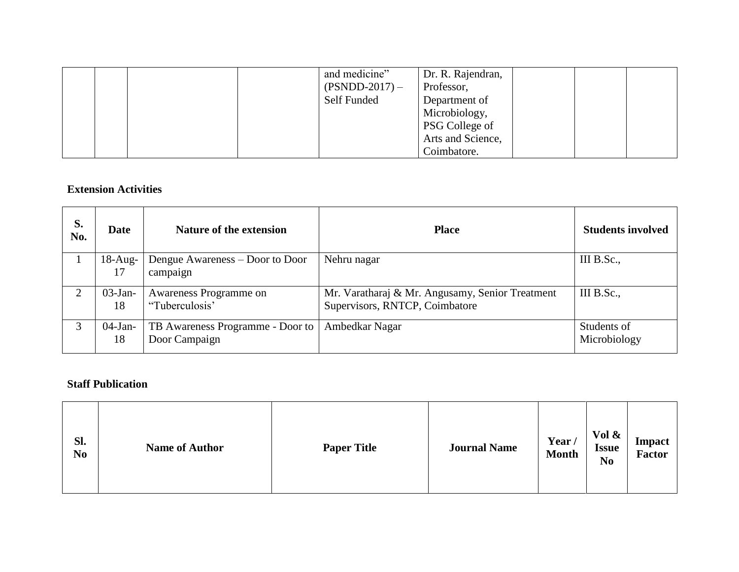|  |  | and medicine"    | Dr. R. Rajendran,     |  |  |
|--|--|------------------|-----------------------|--|--|
|  |  | $(PSNDD-2017) -$ | Professor,            |  |  |
|  |  | Self Funded      | Department of         |  |  |
|  |  |                  | Microbiology,         |  |  |
|  |  |                  | <b>PSG College of</b> |  |  |
|  |  |                  | Arts and Science,     |  |  |
|  |  |                  | Coimbatore.           |  |  |

#### **Extension Activities**

| S.<br>No.                   | Date             | Nature of the extension                           | <b>Place</b>                                                                      | <b>Students involved</b>    |
|-----------------------------|------------------|---------------------------------------------------|-----------------------------------------------------------------------------------|-----------------------------|
|                             | $18-Aug-$<br>17  | Dengue Awareness – Door to Door<br>campaign       | Nehru nagar                                                                       | III B.Sc.,                  |
| $\mathcal{D}_{\mathcal{L}}$ | $03$ -Jan-<br>18 | Awareness Programme on<br>"Tuberculosis"          | Mr. Varatharaj & Mr. Angusamy, Senior Treatment<br>Supervisors, RNTCP, Coimbatore | III B.Sc.,                  |
| 3                           | $04$ -Jan-<br>18 | TB Awareness Programme - Door to<br>Door Campaign | Ambedkar Nagar                                                                    | Students of<br>Microbiology |

#### **Staff Publication**

| Sl.<br>N <sub>0</sub> | <b>Name of Author</b> | <b>Paper Title</b> | <b>Journal Name</b> | Year/<br><b>Month</b> | Vol &<br><b>Issue</b><br>N <sub>0</sub> | Impact<br><b>Factor</b> |
|-----------------------|-----------------------|--------------------|---------------------|-----------------------|-----------------------------------------|-------------------------|
|-----------------------|-----------------------|--------------------|---------------------|-----------------------|-----------------------------------------|-------------------------|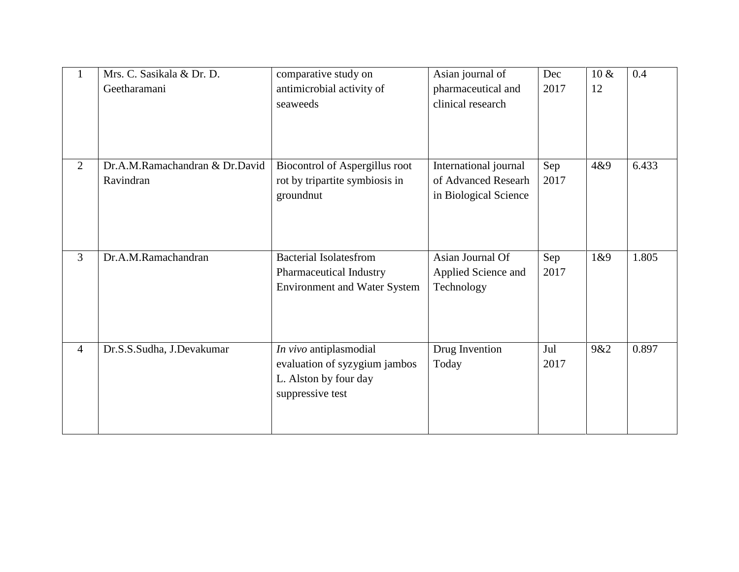| $\mathbf{1}$   | Mrs. C. Sasikala & Dr. D.      | comparative study on                                           | Asian journal of                  | Dec         | $10 \&$ | 0.4   |
|----------------|--------------------------------|----------------------------------------------------------------|-----------------------------------|-------------|---------|-------|
|                | Geetharamani                   | antimicrobial activity of                                      | pharmaceutical and                | 2017        | 12      |       |
|                |                                | seaweeds                                                       | clinical research                 |             |         |       |
|                |                                |                                                                |                                   |             |         |       |
|                |                                |                                                                |                                   |             |         |       |
|                |                                |                                                                |                                   |             |         |       |
| $\overline{2}$ | Dr.A.M.Ramachandran & Dr.David | Biocontrol of Aspergillus root                                 | International journal             | Sep         | 4&9     | 6.433 |
|                | Ravindran                      | rot by tripartite symbiosis in                                 | of Advanced Researh               | 2017        |         |       |
|                |                                | groundnut                                                      | in Biological Science             |             |         |       |
|                |                                |                                                                |                                   |             |         |       |
|                |                                |                                                                |                                   |             |         |       |
|                |                                |                                                                |                                   |             |         |       |
| $\overline{3}$ | Dr.A.M.Ramachandran            | <b>Bacterial Isolatesfrom</b>                                  | Asian Journal Of                  | Sep<br>2017 | 1&89    | 1.805 |
|                |                                | Pharmaceutical Industry<br><b>Environment and Water System</b> | Applied Science and<br>Technology |             |         |       |
|                |                                |                                                                |                                   |             |         |       |
|                |                                |                                                                |                                   |             |         |       |
|                |                                |                                                                |                                   |             |         |       |
| $\overline{4}$ | Dr.S.S.Sudha, J.Devakumar      | In vivo antiplasmodial                                         | Drug Invention                    | Jul         | 9&2     | 0.897 |
|                |                                | evaluation of syzygium jambos                                  | Today                             | 2017        |         |       |
|                |                                | L. Alston by four day                                          |                                   |             |         |       |
|                |                                | suppressive test                                               |                                   |             |         |       |
|                |                                |                                                                |                                   |             |         |       |
|                |                                |                                                                |                                   |             |         |       |
|                |                                |                                                                |                                   |             |         |       |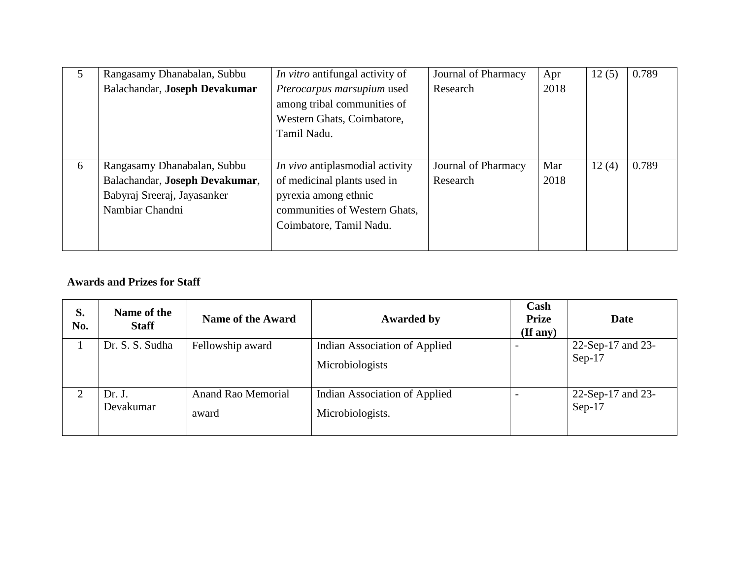| 5 | Rangasamy Dhanabalan, Subbu    | In vitro antifungal activity of        | Journal of Pharmacy | Apr  | 12(5) | 0.789 |
|---|--------------------------------|----------------------------------------|---------------------|------|-------|-------|
|   | Balachandar, Joseph Devakumar  | Pterocarpus marsupium used             | Research            | 2018 |       |       |
|   |                                | among tribal communities of            |                     |      |       |       |
|   |                                | Western Ghats, Coimbatore,             |                     |      |       |       |
|   |                                | Tamil Nadu.                            |                     |      |       |       |
|   |                                |                                        |                     |      |       |       |
| 6 | Rangasamy Dhanabalan, Subbu    | <i>In vivo</i> antiplasmodial activity | Journal of Pharmacy | Mar  | 12(4) | 0.789 |
|   | Balachandar, Joseph Devakumar, | of medicinal plants used in            | Research            | 2018 |       |       |
|   | Babyraj Sreeraj, Jayasanker    | pyrexia among ethnic                   |                     |      |       |       |
|   | Nambiar Chandni                | communities of Western Ghats,          |                     |      |       |       |
|   |                                | Coimbatore, Tamil Nadu.                |                     |      |       |       |
|   |                                |                                        |                     |      |       |       |

### **Awards and Prizes for Staff**

| S.<br>No. | Name of the<br><b>Staff</b> | <b>Name of the Award</b>           | <b>Awarded by</b>                                 | Cash<br><b>Prize</b><br>$($ If any $)$ | <b>Date</b>                   |
|-----------|-----------------------------|------------------------------------|---------------------------------------------------|----------------------------------------|-------------------------------|
|           | Dr. S. S. Sudha             | Fellowship award                   | Indian Association of Applied<br>Microbiologists  |                                        | 22-Sep-17 and 23-<br>$Sep-17$ |
| 2         | Dr. J.<br>Devakumar         | <b>Anand Rao Memorial</b><br>award | Indian Association of Applied<br>Microbiologists. |                                        | 22-Sep-17 and 23-<br>$Sep-17$ |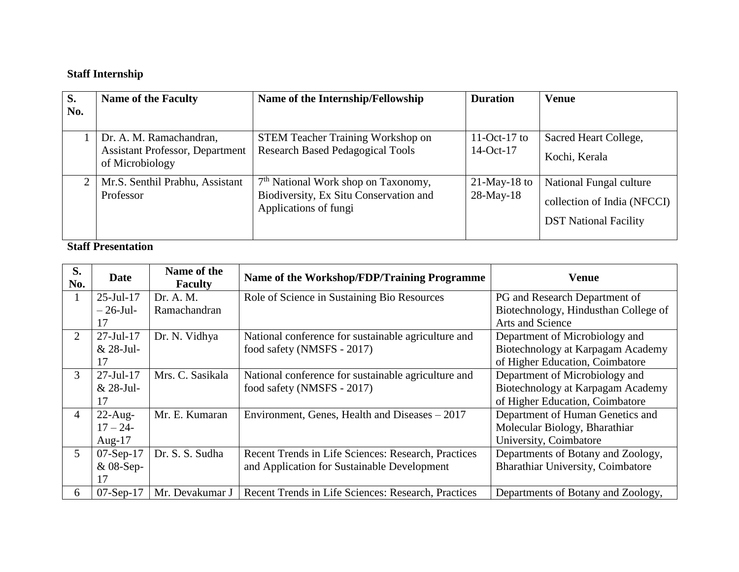# **Staff Internship**

| S.  | <b>Name of the Faculty</b>                                | Name of the Internship/Fellowship                               | <b>Duration</b> | <b>Venue</b>                 |
|-----|-----------------------------------------------------------|-----------------------------------------------------------------|-----------------|------------------------------|
| No. |                                                           |                                                                 |                 |                              |
|     | Dr. A. M. Ramachandran,                                   | <b>STEM Teacher Training Workshop on</b>                        | 11-Oct-17 to    | Sacred Heart College,        |
|     | <b>Assistant Professor, Department</b><br>of Microbiology | <b>Research Based Pedagogical Tools</b>                         | $14-Oct-17$     | Kochi, Kerala                |
|     | Mr.S. Senthil Prabhu, Assistant                           | 7 <sup>th</sup> National Work shop on Taxonomy,                 | $21$ -May-18 to | National Fungal culture      |
|     | Professor                                                 | Biodiversity, Ex Situ Conservation and<br>Applications of fungi | $28$ -May-18    | collection of India (NFCCI)  |
|     |                                                           |                                                                 |                 | <b>DST</b> National Facility |

**Staff Presentation**

| S.<br>No.      | <b>Date</b>      | Name of the<br><b>Faculty</b> | Name of the Workshop/FDP/Training Programme         | Venue                                |
|----------------|------------------|-------------------------------|-----------------------------------------------------|--------------------------------------|
|                | $25$ -Jul-17     | Dr. A. M.                     | Role of Science in Sustaining Bio Resources         | PG and Research Department of        |
|                | $-26$ -Jul-      | Ramachandran                  |                                                     | Biotechnology, Hindusthan College of |
|                | 17               |                               |                                                     | Arts and Science                     |
| $\overline{2}$ | $27 -$ Jul $-17$ | Dr. N. Vidhya                 | National conference for sustainable agriculture and | Department of Microbiology and       |
|                | & 28-Jul-        |                               | food safety (NMSFS - 2017)                          | Biotechnology at Karpagam Academy    |
|                | 17               |                               |                                                     | of Higher Education, Coimbatore      |
| 3              | $27 -$ Jul $-17$ | Mrs. C. Sasikala              | National conference for sustainable agriculture and | Department of Microbiology and       |
|                | & 28-Jul-        |                               | food safety (NMSFS - 2017)                          | Biotechnology at Karpagam Academy    |
|                | 17               |                               |                                                     | of Higher Education, Coimbatore      |
| $\overline{4}$ | $22$ -Aug-       | Mr. E. Kumaran                | Environment, Genes, Health and Diseases – 2017      | Department of Human Genetics and     |
|                | $17 - 24$        |                               |                                                     | Molecular Biology, Bharathiar        |
|                | Aug- $17$        |                               |                                                     | University, Coimbatore               |
| $\mathfrak{S}$ | $07-Sep-17$      | Dr. S. S. Sudha               | Recent Trends in Life Sciences: Research, Practices | Departments of Botany and Zoology,   |
|                | & 08-Sep-        |                               | and Application for Sustainable Development         | Bharathiar University, Coimbatore    |
|                | 17               |                               |                                                     |                                      |
| 6              | $07-Sep-17$      | Mr. Devakumar J               | Recent Trends in Life Sciences: Research, Practices | Departments of Botany and Zoology,   |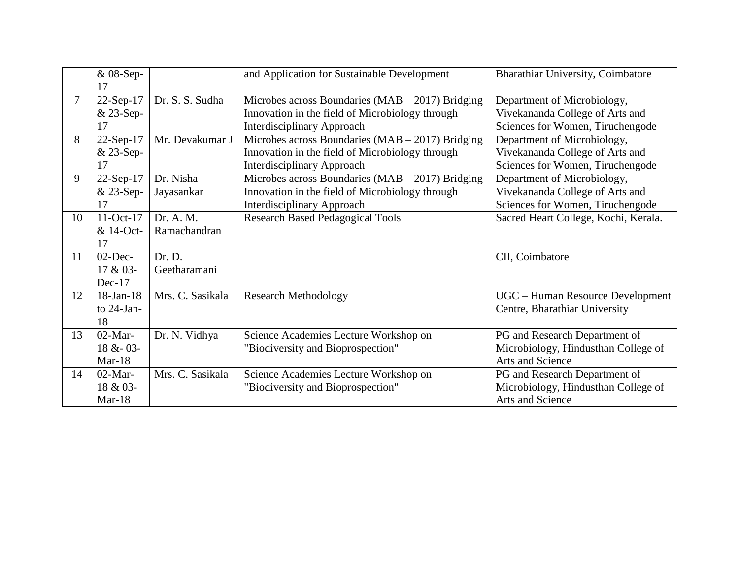|        | & 08-Sep-<br>17 |                  | and Application for Sustainable Development          | Bharathiar University, Coimbatore    |
|--------|-----------------|------------------|------------------------------------------------------|--------------------------------------|
| $\tau$ | 22-Sep-17       | Dr. S. S. Sudha  | Microbes across Boundaries ( $MAB - 2017$ ) Bridging | Department of Microbiology,          |
|        | & 23-Sep-       |                  | Innovation in the field of Microbiology through      | Vivekananda College of Arts and      |
|        | 17              |                  | Interdisciplinary Approach                           | Sciences for Women, Tiruchengode     |
| 8      | 22-Sep-17       | Mr. Devakumar J  | Microbes across Boundaries ( $MAB - 2017$ ) Bridging | Department of Microbiology,          |
|        | & 23-Sep-       |                  | Innovation in the field of Microbiology through      | Vivekananda College of Arts and      |
|        | 17              |                  | <b>Interdisciplinary Approach</b>                    | Sciences for Women, Tiruchengode     |
| 9      | 22-Sep-17       | Dr. Nisha        | Microbes across Boundaries ( $MAB - 2017$ ) Bridging | Department of Microbiology,          |
|        | & 23-Sep-       | Jayasankar       | Innovation in the field of Microbiology through      | Vivekananda College of Arts and      |
|        | 17              |                  | <b>Interdisciplinary Approach</b>                    | Sciences for Women, Tiruchengode     |
| 10     | $11-Oct-17$     | Dr. A. M.        | <b>Research Based Pedagogical Tools</b>              | Sacred Heart College, Kochi, Kerala. |
|        | & 14-Oct-       | Ramachandran     |                                                      |                                      |
|        | 17              |                  |                                                      |                                      |
| 11     | $02$ -Dec-      | Dr. D.           |                                                      | CII, Coimbatore                      |
|        | 17 & 03-        | Geetharamani     |                                                      |                                      |
|        | $Dec-17$        |                  |                                                      |                                      |
| 12     | $18$ -Jan- $18$ | Mrs. C. Sasikala | <b>Research Methodology</b>                          | UGC - Human Resource Development     |
|        | to $24$ -Jan-   |                  |                                                      | Centre, Bharathiar University        |
|        | 18              |                  |                                                      |                                      |
| 13     | $02$ -Mar-      | Dr. N. Vidhya    | Science Academies Lecture Workshop on                | PG and Research Department of        |
|        | $18 & - 03 -$   |                  | "Biodiversity and Bioprospection"                    | Microbiology, Hindusthan College of  |
|        | $Mar-18$        |                  |                                                      | Arts and Science                     |
| 14     | $02$ -Mar-      | Mrs. C. Sasikala | Science Academies Lecture Workshop on                | PG and Research Department of        |
|        | 18 & 03-        |                  | "Biodiversity and Bioprospection"                    | Microbiology, Hindusthan College of  |
|        | Mar- $18$       |                  |                                                      | Arts and Science                     |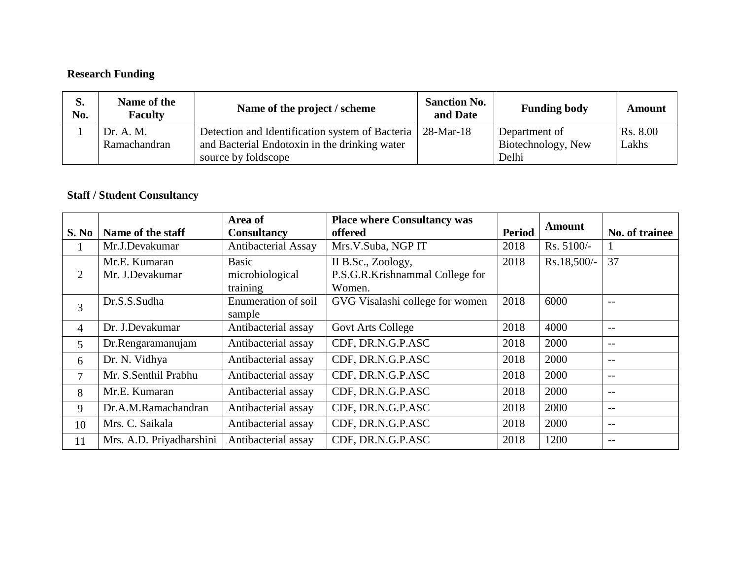# **Research Funding**

| S.<br>No. | Name of the<br><b>Faculty</b> | Name of the project / scheme                    | <b>Sanction No.</b><br>and Date | <b>Funding body</b> | Amount   |
|-----------|-------------------------------|-------------------------------------------------|---------------------------------|---------------------|----------|
|           | Dr. A. M.                     | Detection and Identification system of Bacteria | $28-Mar-18$                     | Department of       | Rs. 8.00 |
|           | Ramachandran                  | and Bacterial Endotoxin in the drinking water   |                                 | Biotechnology, New  | Lakhs    |
|           |                               | source by foldscope                             |                                 | Delhi               |          |

## **Staff / Student Consultancy**

| S. No          | Name of the staff                | Area of<br><b>Consultancy</b>               | <b>Place where Consultancy was</b><br>offered                   | <b>Period</b> | <b>Amount</b> | No. of trainee |
|----------------|----------------------------------|---------------------------------------------|-----------------------------------------------------------------|---------------|---------------|----------------|
|                | Mr.J.Devakumar                   | Antibacterial Assay                         | Mrs.V.Suba, NGP IT                                              | 2018          | Rs. 5100/-    |                |
| 2              | Mr.E. Kumaran<br>Mr. J.Devakumar | <b>Basic</b><br>microbiological<br>training | II B.Sc., Zoology,<br>P.S.G.R.Krishnammal College for<br>Women. | 2018          | Rs.18,500/-   | 37             |
| 3              | Dr.S.S.Sudha                     | Enumeration of soil<br>sample               | GVG Visalashi college for women                                 | 2018          | 6000          | $-$            |
| $\overline{4}$ | Dr. J.Devakumar                  | Antibacterial assay                         | <b>Govt Arts College</b>                                        | 2018          | 4000          | $- -$          |
| 5              | Dr.Rengaramanujam                | Antibacterial assay                         | CDF, DR.N.G.P.ASC                                               | 2018          | 2000          | $- -$          |
| 6              | Dr. N. Vidhya                    | Antibacterial assay                         | CDF, DR.N.G.P.ASC                                               | 2018          | 2000          | $- -$          |
| 7              | Mr. S.Senthil Prabhu             | Antibacterial assay                         | CDF, DR.N.G.P.ASC                                               | 2018          | 2000          | $- -$          |
| 8              | Mr.E. Kumaran                    | Antibacterial assay                         | CDF, DR.N.G.P.ASC                                               | 2018          | 2000          | $- -$          |
| 9              | Dr.A.M.Ramachandran              | Antibacterial assay                         | CDF, DR.N.G.P.ASC                                               | 2018          | 2000          | $- -$          |
| 10             | Mrs. C. Saikala                  | Antibacterial assay                         | CDF, DR.N.G.P.ASC                                               | 2018          | 2000          | $- -$          |
| 11             | Mrs. A.D. Priyadharshini         | Antibacterial assay                         | CDF, DR.N.G.P.ASC                                               | 2018          | 1200          | $-$            |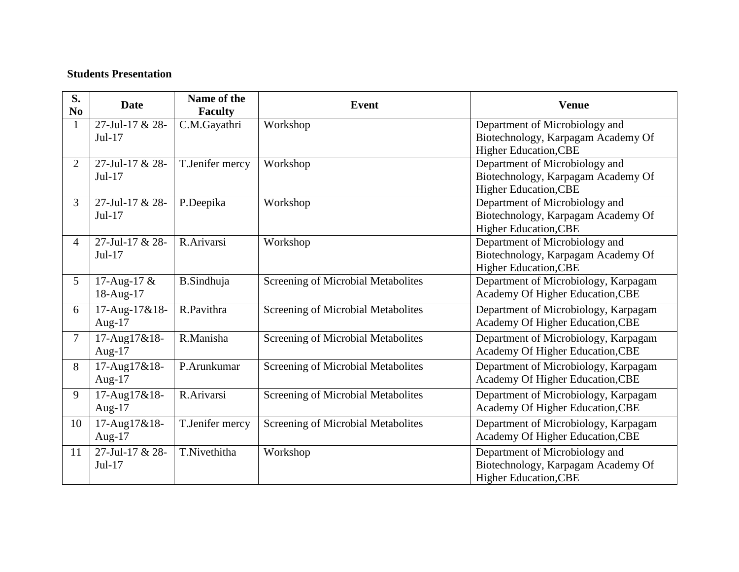### **Students Presentation**

| S.<br>No       | <b>Date</b>     | Name of the<br><b>Faculty</b> | <b>Event</b>                       | <b>Venue</b>                                                         |
|----------------|-----------------|-------------------------------|------------------------------------|----------------------------------------------------------------------|
| $\mathbf{1}$   | 27-Jul-17 & 28- | C.M.Gayathri                  | Workshop                           | Department of Microbiology and                                       |
|                | $Jul-17$        |                               |                                    | Biotechnology, Karpagam Academy Of                                   |
|                | 27-Jul-17 & 28- |                               |                                    | <b>Higher Education, CBE</b>                                         |
| $\overline{2}$ | $Jul-17$        | T.Jenifer mercy               | Workshop                           | Department of Microbiology and<br>Biotechnology, Karpagam Academy Of |
|                |                 |                               |                                    | <b>Higher Education, CBE</b>                                         |
| 3              | 27-Jul-17 & 28- | P.Deepika                     | Workshop                           | Department of Microbiology and                                       |
|                | $Jul-17$        |                               |                                    | Biotechnology, Karpagam Academy Of                                   |
|                |                 |                               |                                    | <b>Higher Education, CBE</b>                                         |
| 4              | 27-Jul-17 & 28- | R.Arivarsi                    | Workshop                           | Department of Microbiology and                                       |
|                | Jul-17          |                               |                                    | Biotechnology, Karpagam Academy Of                                   |
|                |                 |                               |                                    | <b>Higher Education, CBE</b>                                         |
| 5              | 17-Aug-17 &     | <b>B.Sindhuja</b>             | Screening of Microbial Metabolites | Department of Microbiology, Karpagam                                 |
|                | 18-Aug-17       |                               |                                    | Academy Of Higher Education, CBE                                     |
| 6              | 17-Aug-17&18-   | R.Pavithra                    | Screening of Microbial Metabolites | Department of Microbiology, Karpagam                                 |
|                | Aug- $17$       |                               |                                    | Academy Of Higher Education, CBE                                     |
| $\overline{7}$ | 17-Aug17&18-    | R.Manisha                     | Screening of Microbial Metabolites | Department of Microbiology, Karpagam                                 |
|                | Aug- $17$       |                               |                                    | Academy Of Higher Education, CBE                                     |
| 8              | 17-Aug17&18-    | P.Arunkumar                   | Screening of Microbial Metabolites | Department of Microbiology, Karpagam                                 |
|                | Aug- $17$       |                               |                                    | Academy Of Higher Education, CBE                                     |
| 9              | 17-Aug17&18-    | R.Arivarsi                    | Screening of Microbial Metabolites | Department of Microbiology, Karpagam                                 |
|                | Aug- $17$       |                               |                                    | Academy Of Higher Education, CBE                                     |
| 10             | 17-Aug17&18-    | T.Jenifer mercy               | Screening of Microbial Metabolites | Department of Microbiology, Karpagam                                 |
|                | Aug- $17$       |                               |                                    | Academy Of Higher Education, CBE                                     |
| 11             | 27-Jul-17 & 28- | T.Nivethitha                  | Workshop                           | Department of Microbiology and                                       |
|                | $Jul-17$        |                               |                                    | Biotechnology, Karpagam Academy Of                                   |
|                |                 |                               |                                    | <b>Higher Education, CBE</b>                                         |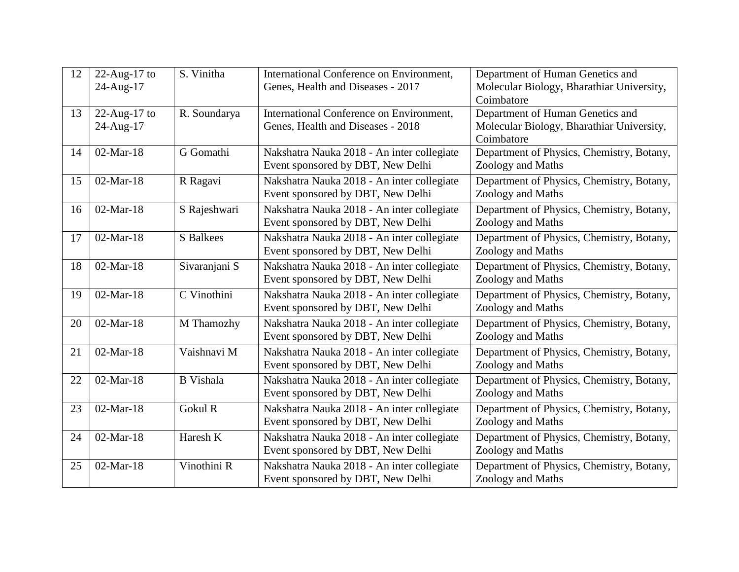| 12 | $22$ -Aug-17 to | S. Vinitha       | International Conference on Environment,                                        | Department of Human Genetics and                               |
|----|-----------------|------------------|---------------------------------------------------------------------------------|----------------------------------------------------------------|
|    | 24-Aug-17       |                  | Genes, Health and Diseases - 2017                                               | Molecular Biology, Bharathiar University,<br>Coimbatore        |
| 13 | $22$ -Aug-17 to | R. Soundarya     | International Conference on Environment,                                        | Department of Human Genetics and                               |
|    | 24-Aug-17       |                  | Genes, Health and Diseases - 2018                                               | Molecular Biology, Bharathiar University,<br>Coimbatore        |
| 14 | $02-Mar-18$     | G Gomathi        | Nakshatra Nauka 2018 - An inter collegiate<br>Event sponsored by DBT, New Delhi | Department of Physics, Chemistry, Botany,<br>Zoology and Maths |
| 15 | $02-Mar-18$     | R Ragavi         | Nakshatra Nauka 2018 - An inter collegiate<br>Event sponsored by DBT, New Delhi | Department of Physics, Chemistry, Botany,<br>Zoology and Maths |
| 16 | $02-Mar-18$     | S Rajeshwari     | Nakshatra Nauka 2018 - An inter collegiate<br>Event sponsored by DBT, New Delhi | Department of Physics, Chemistry, Botany,<br>Zoology and Maths |
| 17 | 02-Mar-18       | <b>S</b> Balkees | Nakshatra Nauka 2018 - An inter collegiate<br>Event sponsored by DBT, New Delhi | Department of Physics, Chemistry, Botany,<br>Zoology and Maths |
| 18 | $02-Mar-18$     | Sivaranjani S    | Nakshatra Nauka 2018 - An inter collegiate<br>Event sponsored by DBT, New Delhi | Department of Physics, Chemistry, Botany,<br>Zoology and Maths |
| 19 | $02-Mar-18$     | C Vinothini      | Nakshatra Nauka 2018 - An inter collegiate<br>Event sponsored by DBT, New Delhi | Department of Physics, Chemistry, Botany,<br>Zoology and Maths |
| 20 | $02-Mar-18$     | M Thamozhy       | Nakshatra Nauka 2018 - An inter collegiate<br>Event sponsored by DBT, New Delhi | Department of Physics, Chemistry, Botany,<br>Zoology and Maths |
| 21 | $02-Mar-18$     | Vaishnavi M      | Nakshatra Nauka 2018 - An inter collegiate<br>Event sponsored by DBT, New Delhi | Department of Physics, Chemistry, Botany,<br>Zoology and Maths |
| 22 | $02-Mar-18$     | <b>B</b> Vishala | Nakshatra Nauka 2018 - An inter collegiate<br>Event sponsored by DBT, New Delhi | Department of Physics, Chemistry, Botany,<br>Zoology and Maths |
| 23 | $02-Mar-18$     | Gokul R          | Nakshatra Nauka 2018 - An inter collegiate<br>Event sponsored by DBT, New Delhi | Department of Physics, Chemistry, Botany,<br>Zoology and Maths |
| 24 | $02-Mar-18$     | Haresh K         | Nakshatra Nauka 2018 - An inter collegiate<br>Event sponsored by DBT, New Delhi | Department of Physics, Chemistry, Botany,<br>Zoology and Maths |
| 25 | $02-Mar-18$     | Vinothini R      | Nakshatra Nauka 2018 - An inter collegiate<br>Event sponsored by DBT, New Delhi | Department of Physics, Chemistry, Botany,<br>Zoology and Maths |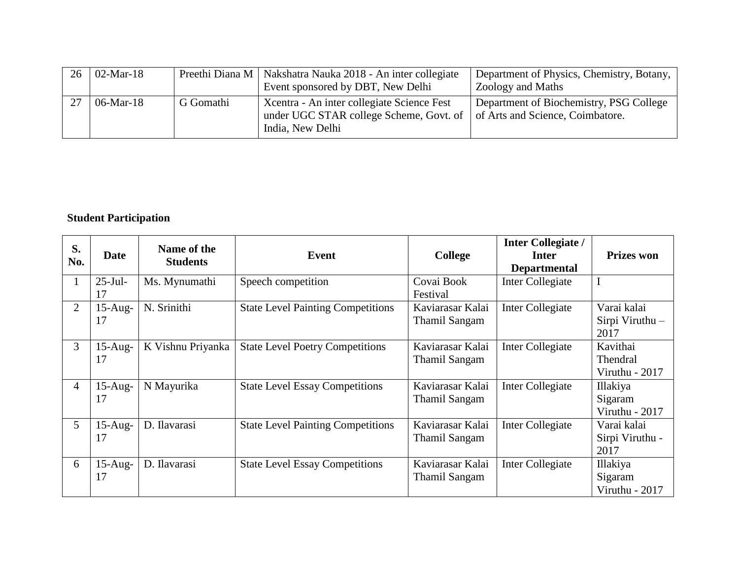| $26 \mid 02$ -Mar-18 |           | Preethi Diana M   Nakshatra Nauka 2018 - An inter collegiate               | Department of Physics, Chemistry, Botany, |
|----------------------|-----------|----------------------------------------------------------------------------|-------------------------------------------|
|                      |           | Event sponsored by DBT, New Delhi                                          | Zoology and Maths                         |
| 06-Mar-18            | G Gomathi | Xeentra - An inter collegiate Science Fest                                 | Department of Biochemistry, PSG College   |
|                      |           | under UGC STAR college Scheme, Govt. of   of Arts and Science, Coimbatore. |                                           |
|                      |           | India, New Delhi                                                           |                                           |

### **Student Participation**

| S.<br>No.      | <b>Date</b>      | Name of the<br><b>Students</b> | Event                                    | <b>College</b>                           | <b>Inter Collegiate /</b><br>Inter<br><b>Departmental</b> | <b>Prizes won</b>                            |
|----------------|------------------|--------------------------------|------------------------------------------|------------------------------------------|-----------------------------------------------------------|----------------------------------------------|
| $\mathbf{1}$   | $25$ -Jul-<br>17 | Ms. Mynumathi                  | Speech competition                       | Covai Book<br>Festival                   | Inter Collegiate                                          | $\mathbf I$                                  |
| $\overline{2}$ | $15$ -Aug-<br>17 | N. Srinithi                    | <b>State Level Painting Competitions</b> | Kaviarasar Kalai<br><b>Thamil Sangam</b> | Inter Collegiate                                          | Varai kalai<br>Sirpi Viruthu -<br>2017       |
| 3              | $15-Aug-$<br>17  | K Vishnu Priyanka              | <b>State Level Poetry Competitions</b>   | Kaviarasar Kalai<br><b>Thamil Sangam</b> | Inter Collegiate                                          | Kavithai<br>Thendral<br>Viruthu - 2017       |
| $\overline{4}$ | $15$ -Aug-<br>17 | N Mayurika                     | <b>State Level Essay Competitions</b>    | Kaviarasar Kalai<br><b>Thamil Sangam</b> | Inter Collegiate                                          | <b>Illakiya</b><br>Sigaram<br>Viruthu - 2017 |
| 5              | $15$ -Aug-<br>17 | D. Ilavarasi                   | <b>State Level Painting Competitions</b> | Kaviarasar Kalai<br><b>Thamil Sangam</b> | Inter Collegiate                                          | Varai kalai<br>Sirpi Viruthu -<br>2017       |
| 6              | $15$ -Aug-<br>17 | D. Ilavarasi                   | <b>State Level Essay Competitions</b>    | Kaviarasar Kalai<br><b>Thamil Sangam</b> | Inter Collegiate                                          | Illakiya<br>Sigaram<br>Viruthu - 2017        |